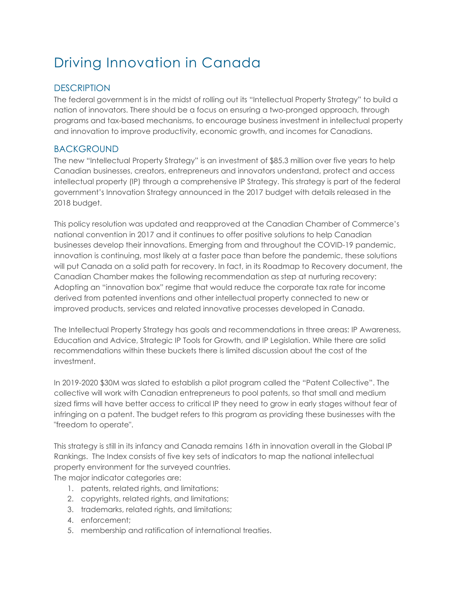# Driving Innovation in Canada

## **DESCRIPTION**

The federal government is in the midst of rolling out its "Intellectual Property Strategy" to build a nation of innovators. There should be a focus on ensuring a two-pronged approach, through programs and tax-based mechanisms, to encourage business investment in intellectual property and innovation to improve productivity, economic growth, and incomes for Canadians.

### BACKGROUND

The new "Intellectual Property Strategy" is an investment of \$85.3 million over five years to help Canadian businesses, creators, entrepreneurs and innovators understand, protect and access intellectual property (IP) through a comprehensive IP Strategy. This strategy is part of the federal government's Innovation Strategy announced in the 2017 budget with details released in the 2018 budget.

This policy resolution was updated and reapproved at the Canadian Chamber of Commerce's national convention in 2017 and it continues to offer positive solutions to help Canadian businesses develop their innovations. Emerging from and throughout the COVID-19 pandemic, innovation is continuing, most likely at a faster pace than before the pandemic, these solutions will put Canada on a solid path for recovery. In fact, in its Roadmap to Recovery document, the Canadian Chamber makes the following recommendation as step at nurturing recovery: Adopting an "innovation box" regime that would reduce the corporate tax rate for income derived from patented inventions and other intellectual property connected to new or improved products, services and related innovative processes developed in Canada.

The Intellectual Property Strategy has goals and recommendations in three areas: IP Awareness, Education and Advice, Strategic IP Tools for Growth, and IP Legislation. While there are solid recommendations within these buckets there is limited discussion about the cost of the investment.

In 2019-2020 \$30M was slated to establish a pilot program called the "Patent Collective". The collective will work with Canadian entrepreneurs to pool patents, so that small and medium sized firms will have better access to critical IP they need to grow in early stages without fear of infringing on a patent. The budget refers to this program as providing these businesses with the "freedom to operate".

This strategy is still in its infancy and Canada remains 16th in innovation overall in the Global IP Rankings. The Index consists of five key sets of indicators to map the national intellectual property environment for the surveyed countries. The major indicator categories are:

- 1. patents, related rights, and limitations;
- 2. copyrights, related rights, and limitations;
- 3. trademarks, related rights, and limitations;
- 4. enforcement;
- 5. membership and ratification of international treaties.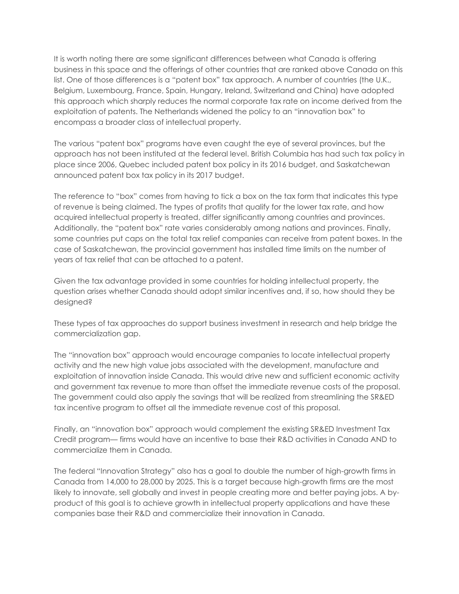It is worth noting there are some significant differences between what Canada is offering business in this space and the offerings of other countries that are ranked above Canada on this list. One of those differences is a "patent box" tax approach. A number of countries (the U.K., Belgium, Luxembourg, France, Spain, Hungary, Ireland, Switzerland and China) have adopted this approach which sharply reduces the normal corporate tax rate on income derived from the exploitation of patents. The Netherlands widened the policy to an "innovation box" to encompass a broader class of intellectual property.

The various "patent box" programs have even caught the eye of several provinces, but the approach has not been instituted at the federal level. British Columbia has had such tax policy in place since 2006, Quebec included patent box policy in its 2016 budget, and Saskatchewan announced patent box tax policy in its 2017 budget.

The reference to "box" comes from having to tick a box on the tax form that indicates this type of revenue is being claimed. The types of profits that qualify for the lower tax rate, and how acquired intellectual property is treated, differ significantly among countries and provinces. Additionally, the "patent box" rate varies considerably among nations and provinces. Finally, some countries put caps on the total tax relief companies can receive from patent boxes. In the case of Saskatchewan, the provincial government has installed time limits on the number of years of tax relief that can be attached to a patent.

Given the tax advantage provided in some countries for holding intellectual property, the question arises whether Canada should adopt similar incentives and, if so, how should they be designed?

These types of tax approaches do support business investment in research and help bridge the commercialization gap.

The "innovation box" approach would encourage companies to locate intellectual property activity and the new high value jobs associated with the development, manufacture and exploitation of innovation inside Canada. This would drive new and sufficient economic activity and government tax revenue to more than offset the immediate revenue costs of the proposal. The government could also apply the savings that will be realized from streamlining the SR&ED tax incentive program to offset all the immediate revenue cost of this proposal.

Finally, an "innovation box" approach would complement the existing SR&ED Investment Tax Credit program— firms would have an incentive to base their R&D activities in Canada AND to commercialize them in Canada.

The federal "Innovation Strategy" also has a goal to double the number of high-growth firms in Canada from 14,000 to 28,000 by 2025. This is a target because high-growth firms are the most likely to innovate, sell globally and invest in people creating more and better paying jobs. A byproduct of this goal is to achieve growth in intellectual property applications and have these companies base their R&D and commercialize their innovation in Canada.